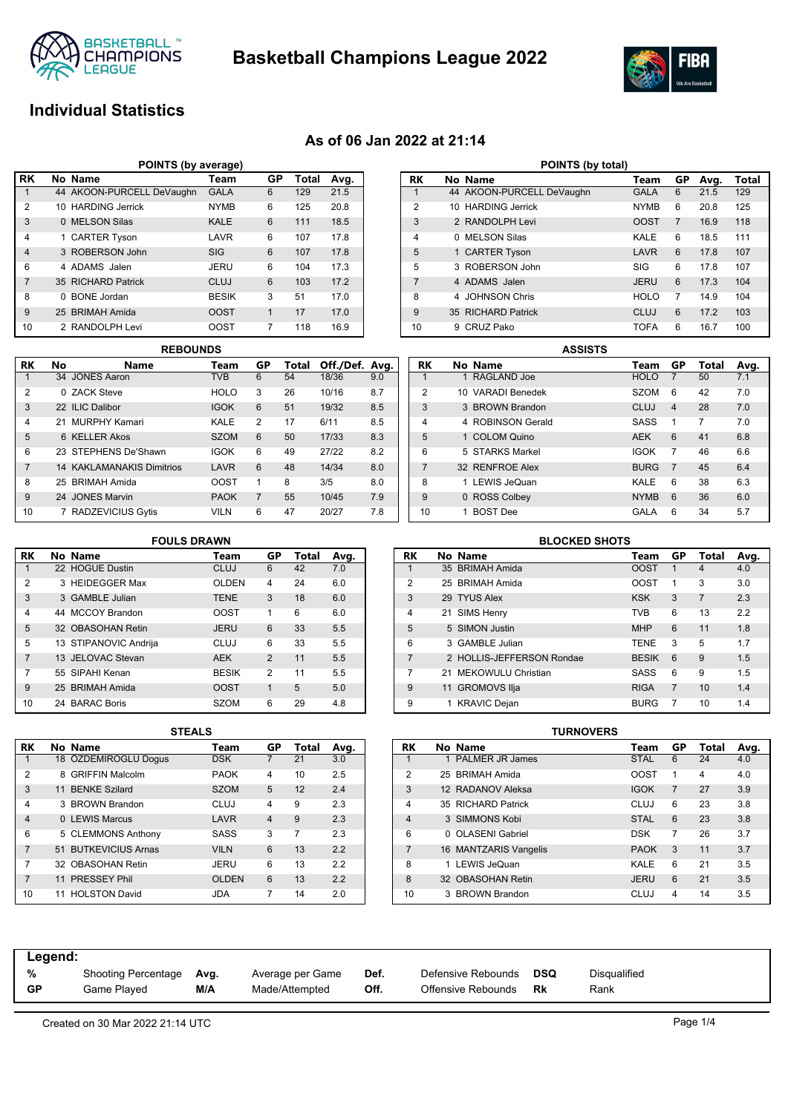

**Basketball Champions League 2022**



## **Individual Statistics**

### **As of 06 Jan 2022 at 21:14**

|                |   | POINTS (by average)       |              |    |       |      |
|----------------|---|---------------------------|--------------|----|-------|------|
| <b>RK</b>      |   | No Name                   | Team         | GP | Total | Avg. |
| 1              |   | 44 AKOON-PURCELL DeVaughn | <b>GALA</b>  | 6  | 129   | 21.5 |
| $\overline{2}$ |   | 10 HARDING Jerrick        | <b>NYMB</b>  | 6  | 125   | 20.8 |
| 3              |   | 0 MELSON Silas            | KALE         | 6  | 111   | 18.5 |
| 4              |   | 1 CARTER Tyson            | LAVR         | 6  | 107   | 17.8 |
| $\overline{4}$ |   | 3 ROBERSON John           | <b>SIG</b>   | 6  | 107   | 17.8 |
| 6              |   | 4 ADAMS Jalen             | JERU         | 6  | 104   | 17.3 |
| $\overline{7}$ |   | 35 RICHARD Patrick        | CLUJ         | 6  | 103   | 17.2 |
| 8              | 0 | <b>BONE</b> Jordan        | <b>BESIK</b> | 3  | 51    | 17.0 |
| 9              |   | 25 BRIMAH Amida           | <b>OOST</b>  | 1  | 17    | 17.0 |
| 10             |   | 2 RANDOLPH Levi           | <b>OOST</b>  | 7  | 118   | 16.9 |

|                | <b>REBOUNDS</b> |                                  |             |                |       |                |     |  |  |  |
|----------------|-----------------|----------------------------------|-------------|----------------|-------|----------------|-----|--|--|--|
| RK             | No              | Name                             | Team        | GP             | Total | Off./Def. Avg. |     |  |  |  |
|                |                 | 34 JONES Aaron                   | TVB         | 6              | 54    | 18/36          | 9.0 |  |  |  |
| $\overline{2}$ |                 | 0 ZACK Steve                     | <b>HOLO</b> | 3              | 26    | 10/16          | 8.7 |  |  |  |
| 3              |                 | 22 ILIC Dalibor                  | <b>IGOK</b> | 6              | 51    | 19/32          | 8.5 |  |  |  |
| 4              |                 | 21 MURPHY Kamari                 | KALE        | $\overline{2}$ | 17    | 6/11           | 8.5 |  |  |  |
| 5              |                 | 6 KELLER Akos                    | <b>SZOM</b> | 6              | 50    | 17/33          | 8.3 |  |  |  |
| 6              |                 | 23 STEPHENS De'Shawn             | <b>IGOK</b> | 6              | 49    | 27/22          | 8.2 |  |  |  |
| 7              |                 | <b>14 KAKLAMANAKIS Dimitrios</b> | LAVR        | 6              | 48    | 14/34          | 8.0 |  |  |  |
| 8              |                 | 25 BRIMAH Amida                  | <b>OOST</b> | 1              | 8     | 3/5            | 8.0 |  |  |  |
| 9              |                 | 24 JONES Marvin                  | <b>PAOK</b> | 7              | 55    | 10/45          | 7.9 |  |  |  |
| 10             |                 | 7 RADZEVICIUS Gytis              | <b>VILN</b> | 6              | 47    | 20/27          | 7.8 |  |  |  |

| POINTS (by total) |   |                           |             |                |      |       |  |  |  |
|-------------------|---|---------------------------|-------------|----------------|------|-------|--|--|--|
| RK                |   | No Name                   | Team        | GP             | Avg. | Total |  |  |  |
| 1                 |   | 44 AKOON-PURCELL DeVaughn | <b>GALA</b> | 6              | 21.5 | 129   |  |  |  |
| $\overline{2}$    |   | 10 HARDING Jerrick        | <b>NYMB</b> | 6              | 20.8 | 125   |  |  |  |
| 3                 |   | 2 RANDOLPH Levi           | <b>OOST</b> | $\overline{7}$ | 16.9 | 118   |  |  |  |
| 4                 | 0 | MELSON Silas              | KALE        | 6              | 18.5 | 111   |  |  |  |
| 5                 |   | 1 CARTER Tyson            | LAVR        | 6              | 17.8 | 107   |  |  |  |
| 5                 |   | 3 ROBERSON John           | SIG         | 6              | 178  | 107   |  |  |  |
| $\overline{7}$    |   | 4 ADAMS Jalen             | <b>JERU</b> | 6              | 17.3 | 104   |  |  |  |
| 8                 | 4 | <b>JOHNSON Chris</b>      | <b>HOLO</b> | 7              | 14.9 | 104   |  |  |  |
| 9                 |   | 35 RICHARD Patrick        | CLUJ        | 6              | 17.2 | 103   |  |  |  |
| 10                | 9 | CRUZ Pako                 | <b>TOFA</b> | 6              | 16.7 | 100   |  |  |  |

|                |                   | <b>ASSISTS</b> |             |                |       |      |
|----------------|-------------------|----------------|-------------|----------------|-------|------|
| RK             | No Name           |                | Team        | GP             | Total | Avg. |
|                | 1 RAGLAND Joe     |                | <b>HOLO</b> | 7              | 50    | 7.1  |
| $\overline{2}$ | 10 VARADI Benedek |                | <b>SZOM</b> | 6              | 42    | 7.0  |
| 3              | 3 BROWN Brandon   |                | CLUJ        | $\overline{4}$ | 28    | 7.0  |
| 4              | 4 ROBINSON Gerald |                | SASS        | 1              | 7     | 7.0  |
| 5              | 1 COLOM Quino     |                | <b>AEK</b>  | 6              | 41    | 6.8  |
| 6              | 5 STARKS Markel   |                | <b>IGOK</b> | 7              | 46    | 6.6  |
| $\overline{7}$ | 32 RENFROE Alex   |                | <b>BURG</b> | $\overline{7}$ | 45    | 6.4  |
| 8              | 1 LEWIS JeQuan    |                | KALE        | 6              | 38    | 6.3  |
| 9              | 0 ROSS Colbey     |                | <b>NYMB</b> | 6              | 36    | 6.0  |
| 10             | <b>BOST</b> Dee   |                | GALA        | 6              | 34    | 5.7  |

| <b>FOULS DRAWN</b> |  |                       |              |                |       |      |  |  |  |  |
|--------------------|--|-----------------------|--------------|----------------|-------|------|--|--|--|--|
| RK                 |  | No Name               | Team         | GP             | Total | Avg. |  |  |  |  |
| 1                  |  | 22 HOGUE Dustin       | <b>CLUJ</b>  | 6              | 42    | 7.0  |  |  |  |  |
| $\overline{2}$     |  | 3 HEIDEGGER Max       | <b>OLDEN</b> | 4              | 24    | 6.0  |  |  |  |  |
| 3                  |  | 3 GAMBLE Julian       | <b>TENE</b>  | 3              | 18    | 6.0  |  |  |  |  |
| 4                  |  | 44 MCCOY Brandon      | <b>OOST</b>  | 1              | 6     | 6.0  |  |  |  |  |
| 5                  |  | 32 OBASOHAN Retin     | <b>JERU</b>  | 6              | 33    | 5.5  |  |  |  |  |
| 5                  |  | 13 STIPANOVIC Andrija | CLUJ         | 6              | 33    | 5.5  |  |  |  |  |
| 7                  |  | 13 JELOVAC Stevan     | <b>AEK</b>   | $\overline{2}$ | 11    | 5.5  |  |  |  |  |
| 7                  |  | 55 SIPAHI Kenan       | <b>BESIK</b> | 2              | 11    | 5.5  |  |  |  |  |
| 9                  |  | 25 BRIMAH Amida       | <b>OOST</b>  | $\mathbf{1}$   | 5     | 5.0  |  |  |  |  |
| 10                 |  | 24 BARAC Boris        | <b>SZOM</b>  | 6              | 29    | 4.8  |  |  |  |  |

| <b>BLOCKED SHOTS</b> |  |                           |             |                |                |      |  |  |  |  |  |
|----------------------|--|---------------------------|-------------|----------------|----------------|------|--|--|--|--|--|
| RK                   |  | No Name                   | Team        | GP             | Total          | Avg. |  |  |  |  |  |
| 1                    |  | 35 BRIMAH Amida           | <b>OOST</b> | 1              | $\overline{4}$ | 4.0  |  |  |  |  |  |
| 2                    |  | 25 BRIMAH Amida           | <b>OOST</b> | 1              | 3              | 3.0  |  |  |  |  |  |
| 3                    |  | 29 TYUS Alex              | <b>KSK</b>  | 3              | $\overline{7}$ | 2.3  |  |  |  |  |  |
| 4                    |  | 21 SIMS Henry             | <b>TVB</b>  | 6              | 13             | 2.2  |  |  |  |  |  |
| 5                    |  | 5 SIMON Justin            | <b>MHP</b>  | 6              | 11             | 1.8  |  |  |  |  |  |
| 6                    |  | 3 GAMBLE Julian           | <b>TENE</b> | 3              | 5              | 1.7  |  |  |  |  |  |
| $\overline{7}$       |  | 2 HOLLIS-JEFFERSON Rondae | <b>BESK</b> | 6              | 9              | 1.5  |  |  |  |  |  |
| 7                    |  | 21 MFKOWULU Christian     | SASS        | 6              | 9              | 1.5  |  |  |  |  |  |
| 9                    |  | 11 GROMOVS Ilja           | <b>RIGA</b> | $\overline{7}$ | 10             | 1.4  |  |  |  |  |  |
| 9                    |  | 1 KRAVIC Dejan            | <b>BURG</b> | 7              | 10             | 1.4  |  |  |  |  |  |
|                      |  |                           |             |                |                |      |  |  |  |  |  |

| RK             |    | No Name                | Team         | GP             | Total | Avg. |
|----------------|----|------------------------|--------------|----------------|-------|------|
| 1              |    | 18 ÖZDEMIROGLU Doqus   | <b>DSK</b>   | 7              | 21    | 3.0  |
| 2              | 8  | <b>GRIFFIN Malcolm</b> | <b>PAOK</b>  | 4              | 10    | 2.5  |
| 3              |    | 11 BENKE Szilard       | <b>SZOM</b>  | 5              | 12    | 2.4  |
| 4              |    | 3 BROWN Brandon        | CLUJ         | 4              | 9     | 2.3  |
| 4              |    | 0 LEWIS Marcus         | LAVR         | $\overline{4}$ | 9     | 2.3  |
| 6              |    | 5 CLEMMONS Anthony     | SASS         | 3              | 7     | 2.3  |
| $\overline{7}$ |    | 51 BUTKEVICIUS Arnas   | <b>VILN</b>  | 6              | 13    | 2.2  |
| 7              |    | 32 OBASOHAN Retin      | JERU         | 6              | 13    | 2.2  |
| $\overline{7}$ | 11 | <b>PRESSEY Phil</b>    | <b>OLDEN</b> | 6              | 13    | 2.2  |
| 10             |    | 11 HOLSTON David       | JDA          | 7              | 14    | 2.0  |

| STEALS |              |                |       |      |                |                        | TURNOVERS |             |    |       |      |
|--------|--------------|----------------|-------|------|----------------|------------------------|-----------|-------------|----|-------|------|
|        | Team         | GP             | Total | Avg. | <b>RK</b>      | No Name                |           | Team        | GP | Total | Avg. |
|        | <b>DSK</b>   |                | 21    | 3.0  |                | <b>PALMER JR James</b> |           | <b>STAL</b> | 6  | 24    | 4.0  |
|        | <b>PAOK</b>  | 4              | 10    | 2.5  | 2              | 25 BRIMAH Amida        |           | <b>OOST</b> |    | 4     | 4.0  |
|        | <b>SZOM</b>  | 5              | 12    | 2.4  | 3              | 12 RADANOV Aleksa      |           | <b>IGOK</b> |    | 27    | 3.9  |
|        | <b>CLUJ</b>  | 4              | 9     | 2.3  | 4              | 35 RICHARD Patrick     |           | CLUJ        | 6  | 23    | 3.8  |
|        | LAVR         | $\overline{4}$ | 9     | 2.3  | $\overline{4}$ | 3 SIMMONS Kobi         |           | <b>STAL</b> | 6  | 23    | 3.8  |
|        | <b>SASS</b>  | 3              |       | 2.3  | 6              | 0 OLASENI Gabriel      |           | <b>DSK</b>  | 7  | 26    | 3.7  |
|        | <b>VILN</b>  | 6              | 13    | 2.2  | $\overline{7}$ | 16 MANTZARIS Vangelis  |           | <b>PAOK</b> | 3  | 11    | 3.7  |
|        | <b>JERU</b>  | 6              | 13    | 2.2  | 8              | 1 LEWIS JeQuan         |           | <b>KALE</b> | 6  | 21    | 3.5  |
|        | <b>OLDEN</b> | 6              | 13    | 2.2  | 8              | 32 OBASOHAN Retin      |           | <b>JERU</b> | 6  | 21    | 3.5  |
|        | <b>JDA</b>   | 7              | 14    | 2.0  | 10             | 3 BROWN Brandon        |           | CLUJ        | 4  | 14    | 3.5  |
|        |              |                |       |      |                |                        |           |             |    |       |      |

| Legend:   |                     |      |                  |      |                    |     |              |
|-----------|---------------------|------|------------------|------|--------------------|-----|--------------|
| %         | Shooting Percentage | Avg. | Average per Game | Def. | Defensive Rebounds | DSQ | Disqualified |
| <b>GP</b> | Game Plaved         | M/A  | Made/Attempted   | Off. | Offensive Rebounds | Rk  | Rank         |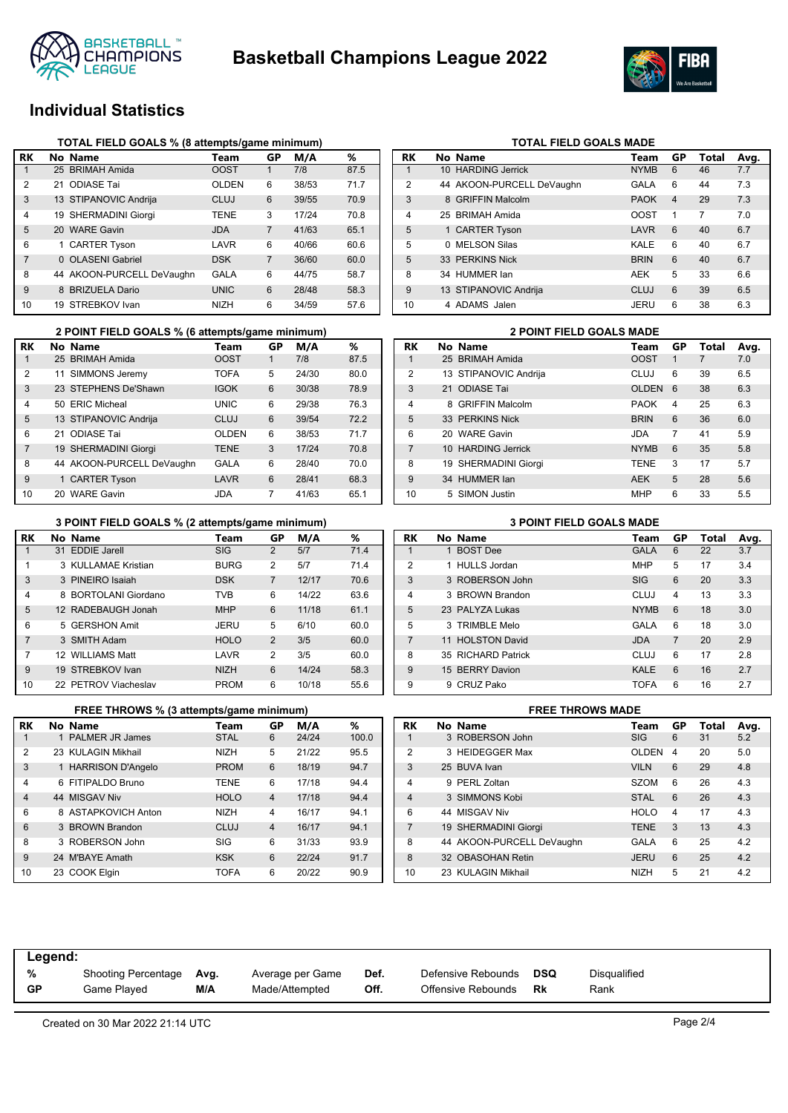



### **Individual Statistics**

|                | TOTAL FIELD GOALS % (8 attempts/game minimum) |                           |              |                |       |      |  |  |  |  |  |  |
|----------------|-----------------------------------------------|---------------------------|--------------|----------------|-------|------|--|--|--|--|--|--|
| <b>RK</b>      |                                               | No Name                   | Team         | GP             | M/A   | %    |  |  |  |  |  |  |
| 1              |                                               | 25 BRIMAH Amida           | <b>OOST</b>  |                | 7/8   | 87.5 |  |  |  |  |  |  |
| $\overline{2}$ |                                               | 21 ODIASE Tai             | <b>OLDEN</b> | 6              | 38/53 | 71.7 |  |  |  |  |  |  |
| 3              |                                               | 13 STIPANOVIC Andrija     | CLUJ         | 6              | 39/55 | 70.9 |  |  |  |  |  |  |
| 4              |                                               | 19 SHERMADINI Giorgi      | <b>TENE</b>  | 3              | 17/24 | 70.8 |  |  |  |  |  |  |
| 5              |                                               | 20 WARE Gavin             | <b>JDA</b>   | $\overline{7}$ | 41/63 | 65.1 |  |  |  |  |  |  |
| 6              |                                               | 1 CARTER Tyson            | LAVR         | 6              | 40/66 | 60.6 |  |  |  |  |  |  |
| 7              |                                               | 0 OLASENI Gabriel         | <b>DSK</b>   | 7              | 36/60 | 60.0 |  |  |  |  |  |  |
| 8              |                                               | 44 AKOON-PURCELL DeVaughn | GALA         | 6              | 44/75 | 58.7 |  |  |  |  |  |  |
| 9              | 8                                             | <b>BRIZUELA Dario</b>     | <b>UNIC</b>  | 6              | 28/48 | 58.3 |  |  |  |  |  |  |
| 10             |                                               | 19 STREBKOV Ivan          | <b>NIZH</b>  | 6              | 34/59 | 57.6 |  |  |  |  |  |  |

|                | 2 POINT FIELD GOALS % (6 attempts/game minimum) |                           |              |    |       |      |  |  |  |  |  |  |
|----------------|-------------------------------------------------|---------------------------|--------------|----|-------|------|--|--|--|--|--|--|
| <b>RK</b>      |                                                 | No Name                   | Team         | GP | M/A   | ℅    |  |  |  |  |  |  |
|                |                                                 | 25 BRIMAH Amida           | <b>OOST</b>  |    | 7/8   | 87.5 |  |  |  |  |  |  |
| $\overline{2}$ |                                                 | 11 SIMMONS Jeremy         | <b>TOFA</b>  | 5  | 24/30 | 80.0 |  |  |  |  |  |  |
| 3              |                                                 | 23 STEPHENS De'Shawn      | <b>IGOK</b>  | 6  | 30/38 | 78.9 |  |  |  |  |  |  |
| 4              |                                                 | 50 ERIC Micheal           | <b>UNIC</b>  | 6  | 29/38 | 76.3 |  |  |  |  |  |  |
| 5              |                                                 | 13 STIPANOVIC Andrija     | CLUJ         | 6  | 39/54 | 72.2 |  |  |  |  |  |  |
| 6              |                                                 | 21 ODIASE Tai             | <b>OLDEN</b> | 6  | 38/53 | 71.7 |  |  |  |  |  |  |
| $\overline{7}$ |                                                 | 19 SHERMADINI Giorgi      | <b>TENE</b>  | 3  | 17/24 | 70.8 |  |  |  |  |  |  |
| 8              |                                                 | 44 AKOON-PURCELL DeVaughn | GALA         | 6  | 28/40 | 70.0 |  |  |  |  |  |  |
| 9              |                                                 | <b>CARTER Tyson</b>       | LAVR         | 6  | 28/41 | 68.3 |  |  |  |  |  |  |
| 10             |                                                 | 20 WARE Gavin             | JDA          | 7  | 41/63 | 65.1 |  |  |  |  |  |  |

# **TOTAL FIELD GOALS MADE**<br>Team Monto Mame

| RK | No Name                   | Team        | GP             | Total | Avg. |
|----|---------------------------|-------------|----------------|-------|------|
| 1  | 10 HARDING Jerrick        | <b>NYMB</b> | 6              | 46    | 7.7  |
| 2  | 44 AKOON-PURCELL DeVaughn | GALA        | 6              | 44    | 7.3  |
| 3  | 8 GRIFFIN Malcolm         | <b>PAOK</b> | $\overline{4}$ | 29    | 7.3  |
| 4  | 25 BRIMAH Amida           | <b>OOST</b> | 1              | 7     | 7.0  |
| 5  | 1 CARTER Tyson            | LAVR        | 6              | 40    | 6.7  |
| 5  | 0 MELSON Silas            | KALE        | 6              | 40    | 6.7  |
| 5  | 33 PERKINS Nick           | <b>BRIN</b> | 6              | 40    | 6.7  |
| 8  | 34 HUMMER lan             | <b>AEK</b>  | 5              | 33    | 6.6  |
| 9  | 13 STIPANOVIC Andrija     | <b>CLUJ</b> | 6              | 39    | 6.5  |
| 10 | 4 ADAMS Jalen             | JERU        | 6              | 38    | 6.3  |

|                | <b>2 POINT FIELD GOALS MADE</b> |                        |              |    |       |      |  |  |  |  |
|----------------|---------------------------------|------------------------|--------------|----|-------|------|--|--|--|--|
| RK             |                                 | No Name                | Team         | GP | Total | Avg. |  |  |  |  |
| 1              |                                 | 25 BRIMAH Amida        | <b>OOST</b>  | 1  | 7     | 7.0  |  |  |  |  |
| $\mathcal{P}$  |                                 | 13 STIPANOVIC Andrija  | CLUJ         | 6  | 39    | 6.5  |  |  |  |  |
| 3              |                                 | 21 ODIASE Tai          | <b>OLDEN</b> | 6  | 38    | 6.3  |  |  |  |  |
| $\overline{4}$ | 8                               | <b>GRIFFIN Malcolm</b> | <b>PAOK</b>  | 4  | 25    | 6.3  |  |  |  |  |
| 5              |                                 | 33 PFRKINS Nick        | <b>BRIN</b>  | 6  | 36    | 6.0  |  |  |  |  |
| 6              | 20.                             | <b>WARF Gavin</b>      | JDA          | 7  | 41    | 5.9  |  |  |  |  |
| $\overline{7}$ |                                 | 10 HARDING Jerrick     | <b>NYMB</b>  | 6  | 35    | 5.8  |  |  |  |  |
| 8              |                                 | 19 SHERMADINI Giorgi   | <b>TENE</b>  | 3  | 17    | 5.7  |  |  |  |  |
| 9              |                                 | 34 HUMMER lan          | <b>AEK</b>   | 5  | 28    | 5.6  |  |  |  |  |
| 10             |                                 | 5 SIMON Justin         | <b>MHP</b>   | 6  | 33    | 5.5  |  |  |  |  |

### **3 POINT FIELD GOALS % (2 attempts/game minimum) 3 POINT FIELD GOALS MADE**

| RK             | No Name              | Team        | GP             | M/A   | %    |
|----------------|----------------------|-------------|----------------|-------|------|
|                | 31 EDDIE Jarell      | <b>SIG</b>  | $\overline{2}$ | 5/7   | 71.4 |
| 1              | 3 KULLAMAE Kristian  | <b>BURG</b> | $\overline{2}$ | 5/7   | 71.4 |
| 3              | 3 PINEIRO Isaiah     | <b>DSK</b>  | 7              | 12/17 | 70.6 |
| 4              | 8 BORTOLANI Giordano | <b>TVB</b>  | 6              | 14/22 | 63.6 |
| 5              | 12 RADEBAUGH Jonah   | <b>MHP</b>  | 6              | 11/18 | 61.1 |
| 6              | 5 GERSHON Amit       | <b>JERU</b> | 5              | 6/10  | 60.0 |
| $\overline{7}$ | 3 SMITH Adam         | <b>HOLO</b> | $\overline{2}$ | 3/5   | 60.0 |
| 7              | 12 WILLIAMS Matt     | LAVR        | $\overline{2}$ | 3/5   | 60.0 |
| 9              | 19 STREBKOV Ivan     | <b>NIZH</b> | 6              | 14/24 | 58.3 |
| 10             | 22 PETROV Viacheslav | <b>PROM</b> | 6              | 10/18 | 55.6 |

| RK             |   | No Name            | Team        | GP             | Total | Avg. |
|----------------|---|--------------------|-------------|----------------|-------|------|
| 1              |   | 1 BOST Dee         | <b>GALA</b> | 6              | 22    | 3.7  |
| $\overline{2}$ |   | 1 HULLS Jordan     | <b>MHP</b>  | 5              | 17    | 3.4  |
| 3              |   | 3 ROBERSON John    | <b>SIG</b>  | 6              | 20    | 3.3  |
| $\overline{4}$ |   | 3 BROWN Brandon    | <b>CLUJ</b> | 4              | 13    | 3.3  |
| 5              |   | 23 PALYZA Lukas    | <b>NYMB</b> | 6              | 18    | 3.0  |
| 5              |   | 3 TRIMBLE Melo     | GALA        | 6              | 18    | 3.0  |
| $\overline{7}$ |   | 11 HOLSTON David   | <b>JDA</b>  | $\overline{7}$ | 20    | 2.9  |
| 8              |   | 35 RICHARD Patrick | CLUJ        | 6              | 17    | 2.8  |
| 9              |   | 15 BERRY Davion    | <b>KALE</b> | 6              | 16    | 2.7  |
| 9              | 9 | CRUZ Pako          | <b>TOFA</b> | 6              | 16    | 2.7  |

|                | FREE THROWS % (3 attempts/game minimum) |             |                |       |       | <b>FREE THROWS MADE</b> |  |                           |                |
|----------------|-----------------------------------------|-------------|----------------|-------|-------|-------------------------|--|---------------------------|----------------|
| RK             | No Name                                 | Team        | GP             | M/A   | %     | <b>RK</b>               |  | No Name                   | Tε             |
|                | <b>PALMER JR James</b>                  | <b>STAL</b> | 6              | 24/24 | 100.0 |                         |  | 3 ROBERSON John           | SI             |
| 2              | 23 KULAGIN Mikhail                      | <b>NIZH</b> | 5              | 21/22 | 95.5  | 2                       |  | 3 HEIDEGGER Max           | Ol             |
| 3              | 1 HARRISON D'Angelo                     | <b>PROM</b> | 6              | 18/19 | 94.7  | 3                       |  | 25 BUVA Ivan              | VII            |
| 4              | 6 FITIPALDO Bruno                       | <b>TENE</b> | 6              | 17/18 | 94.4  | 4                       |  | 9 PERL Zoltan             | S <sub>Z</sub> |
| $\overline{4}$ | 44 MISGAV Niv                           | <b>HOLO</b> | 4              | 17/18 | 94.4  | 4                       |  | 3 SIMMONS Kobi            | S <sub>1</sub> |
| 6              | 8 ASTAPKOVICH Anton                     | <b>NIZH</b> | 4              | 16/17 | 94.1  | 6                       |  | 44 MISGAV Niv             | H              |
| 6              | 3 BROWN Brandon                         | <b>CLUJ</b> | $\overline{4}$ | 16/17 | 94.1  |                         |  | 19 SHERMADINI Giorgi      | TE             |
| 8              | 3 ROBERSON John                         | <b>SIG</b>  | 6              | 31/33 | 93.9  | 8                       |  | 44 AKOON-PURCELL DeVaughn | G/             |
| 9              | 24 M'BAYE Amath                         | <b>KSK</b>  | 6              | 22/24 | 91.7  | 8                       |  | 32 OBASOHAN Retin         | JE             |
| 10             | 23 COOK Elain                           | <b>TOFA</b> | 6              | 20/22 | 90.9  | 10                      |  | 23 KULAGIN Mikhail        | NI.            |

| RK             | No Name                   | Team         | GP             | Total | Avg. |
|----------------|---------------------------|--------------|----------------|-------|------|
| 1              | 3 ROBERSON John           | <b>SIG</b>   | 6              | 31    | 5.2  |
| $\mathcal{P}$  | 3 HEIDEGGER Max           | <b>OLDEN</b> | 4              | 20    | 5.0  |
| 3              | 25 BUVA Ivan              | <b>VILN</b>  | 6              | 29    | 4.8  |
| $\overline{4}$ | 9 PERL Zoltan             | <b>SZOM</b>  | 6              | 26    | 4.3  |
| $\overline{4}$ | 3 SIMMONS Kobi            | <b>STAL</b>  | 6              | 26    | 4.3  |
| 6              | 44 MISGAV Niv             | <b>HOLO</b>  | $\overline{4}$ | 17    | 4.3  |
| $\overline{7}$ | 19 SHERMADINI Giorgi      | <b>TENE</b>  | 3              | 13    | 4.3  |
| 8              | 44 AKOON-PURCELL DeVaughn | GALA         | 6              | 25    | 4.2  |
| 8              | 32 OBASOHAN Retin         | <b>JERU</b>  | 6              | 25    | 4.2  |
| 10             | 23 KULAGIN Mikhail        | <b>NIZH</b>  | 5              | 21    | 4.2  |

| Legend:   |                     |      |                  |      |                    |            |                     |
|-----------|---------------------|------|------------------|------|--------------------|------------|---------------------|
| %         | Shooting Percentage | Avg. | Average per Game | Def. | Defensive Rebounds | <b>DSQ</b> | <b>Disqualified</b> |
| <b>GP</b> | Game Played         | M/A  | Made/Attempted   | Off. | Offensive Rebounds | Rk         | Rank                |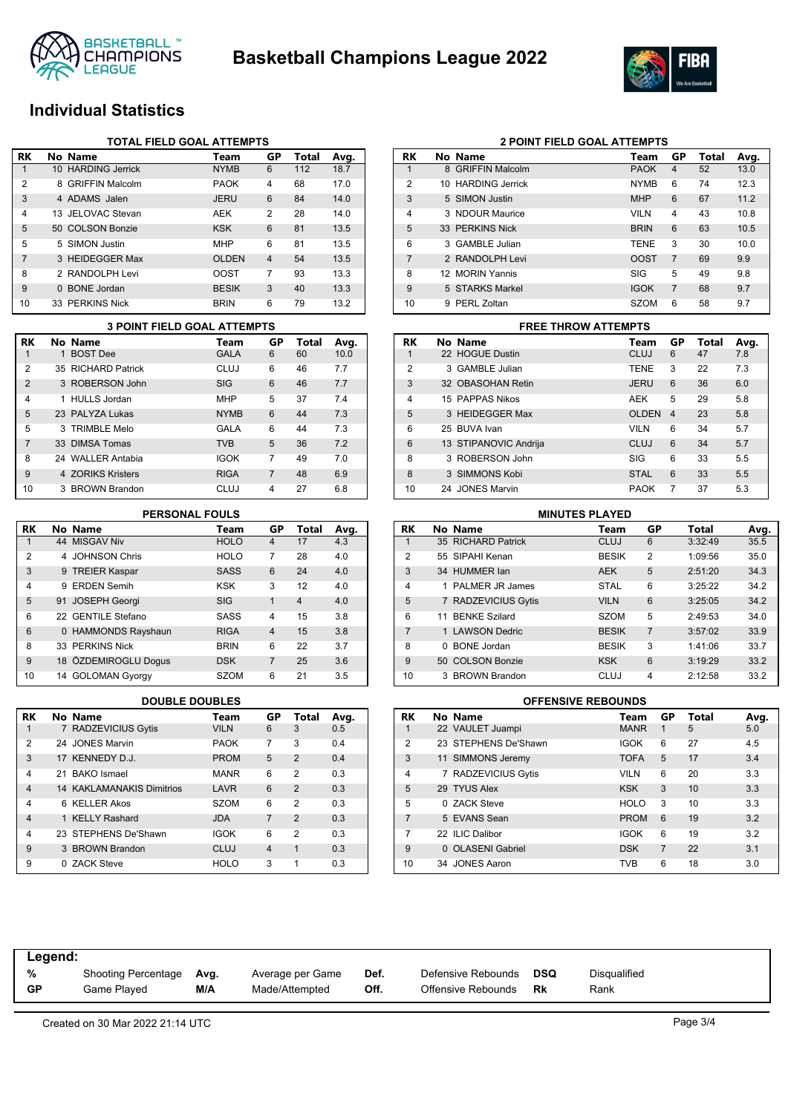



### **Individual Statistics**

|                | <b>TOTAL FIELD GOAL ATTEMPTS</b> |                        |              |                |       |      |  |  |  |
|----------------|----------------------------------|------------------------|--------------|----------------|-------|------|--|--|--|
| RK             |                                  | No Name                | Team         | GP             | Total | Avg. |  |  |  |
| 1              |                                  | 10 HARDING Jerrick     | <b>NYMB</b>  | 6              | 112   | 18.7 |  |  |  |
| $\overline{2}$ | 8.                               | <b>GRIFFIN Malcolm</b> | <b>PAOK</b>  | 4              | 68    | 17.0 |  |  |  |
| 3              |                                  | 4 ADAMS Jalen          | <b>JERU</b>  | 6              | 84    | 14.0 |  |  |  |
| 4              |                                  | 13 JFLOVAC Stevan      | AEK          | $\overline{2}$ | 28    | 14.0 |  |  |  |
| 5              |                                  | 50 COLSON Bonzie       | <b>KSK</b>   | 6              | 81    | 13.5 |  |  |  |
| 5              |                                  | 5 SIMON Justin         | <b>MHP</b>   | 6              | 81    | 13.5 |  |  |  |
| 7              |                                  | 3 HEIDEGGER Max        | <b>OLDEN</b> | $\overline{4}$ | 54    | 13.5 |  |  |  |
| 8              |                                  | 2 RANDOLPH Levi        | <b>OOST</b>  | 7              | 93    | 13.3 |  |  |  |
| 9              | $\Omega$                         | <b>BONE</b> Jordan     | <b>BESIK</b> | 3              | 40    | 13.3 |  |  |  |
| 10             |                                  | 33 PERKINS Nick        | <b>BRIN</b>  | 6              | 79    | 13.2 |  |  |  |

|                | <b>3 POINT FIELD GOAL ATTEMPTS</b> |                    |             |    |       |      |  |  |  |
|----------------|------------------------------------|--------------------|-------------|----|-------|------|--|--|--|
| RK             |                                    | No Name            | Team        | GP | Total | Avg. |  |  |  |
|                |                                    | 1 BOST Dee         | <b>GALA</b> | 6  | 60    | 10.0 |  |  |  |
| $\overline{2}$ |                                    | 35 RICHARD Patrick | CLUJ        | 6  | 46    | 7.7  |  |  |  |
| $\overline{2}$ |                                    | 3 ROBERSON John    | <b>SIG</b>  | 6  | 46    | 7.7  |  |  |  |
| 4              |                                    | 1 HULLS Jordan     | <b>MHP</b>  | 5  | 37    | 7.4  |  |  |  |
| 5              |                                    | 23 PALYZA Lukas    | <b>NYMB</b> | 6  | 44    | 7.3  |  |  |  |
| 5              |                                    | 3 TRIMBLE Melo     | GALA        | 6  | 44    | 7.3  |  |  |  |
| 7              |                                    | 33 DIMSA Tomas     | <b>TVB</b>  | 5  | 36    | 7.2  |  |  |  |
| 8              |                                    | 24 WALLER Antabia  | <b>IGOK</b> | 7  | 49    | 7.0  |  |  |  |
| 9              |                                    | 4 ZORIKS Kristers  | <b>RIGA</b> | 7  | 48    | 6.9  |  |  |  |
| 10             |                                    | 3 BROWN Brandon    | <b>CLUJ</b> | 4  | 27    | 6.8  |  |  |  |

### **PERSONAL FOULS**

| RK            | No Name              | Team        | GP             | Total          | Avg. |
|---------------|----------------------|-------------|----------------|----------------|------|
| 1             | 44 MISGAV Niv        | <b>HOLO</b> | 4              | 17             | 4.3  |
| $\mathcal{P}$ | 4 JOHNSON Chris      | <b>HOLO</b> | 7              | 28             | 4.0  |
| 3             | 9 TREIER Kaspar      | <b>SASS</b> | 6              | 24             | 4.0  |
| 4             | 9 ERDEN Semih        | <b>KSK</b>  | 3              | 12             | 4.0  |
| 5             | 91 JOSEPH Georgi     | <b>SIG</b>  | 1              | $\overline{4}$ | 4.0  |
| 6             | 22 GENTILE Stefano   | <b>SASS</b> | 4              | 15             | 3.8  |
| 6             | 0 HAMMONDS Rayshaun  | <b>RIGA</b> | $\overline{4}$ | 15             | 3.8  |
| 8             | 33 PERKINS Nick      | <b>BRIN</b> | 6              | 22             | 3.7  |
| 9             | 18 ÖZDEMIROGLU Doqus | <b>DSK</b>  | 7              | 25             | 3.6  |
| 10            | 14 GOLOMAN Gyorgy    | <b>SZOM</b> | 6              | 21             | 3.5  |

| <b>RK</b>      | No Name                          | Team        | GP             | Total          | Avg. |
|----------------|----------------------------------|-------------|----------------|----------------|------|
| 1              | 7 RADZEVICIUS Gytis              | <b>VILN</b> | 6              | 3              | 0.5  |
| $\overline{2}$ | 24 JONES Marvin                  | <b>PAOK</b> | 7              | 3              | 0.4  |
| 3              | 17 KENNEDY D.J.                  | <b>PROM</b> | 5              | $\overline{2}$ | 0.4  |
| 4              | 21 BAKO Ismael                   | <b>MANR</b> | 6              | 2              | 0.3  |
| $\overline{4}$ | <b>14 KAKLAMANAKIS Dimitrios</b> | LAVR        | 6              | $\mathcal{P}$  | 0.3  |
| 4              | 6 KELLER Akos                    | <b>SZOM</b> | 6              | $\overline{2}$ | 0.3  |
| $\overline{4}$ | 1 KELLY Rashard                  | <b>JDA</b>  | $\overline{7}$ | $\mathfrak{p}$ | 0.3  |
| 4              | 23 STEPHENS De'Shawn             | <b>IGOK</b> | 6              | 2              | 0.3  |
| 9              | 3 BROWN Brandon                  | <b>CLUJ</b> | $\overline{4}$ | 1              | 0.3  |
| 9              | 0 ZACK Steve                     | <b>HOLO</b> | 3              | 1              | 0.3  |

| RK             | No Name            | Team        | GP             | Total | Avg. |
|----------------|--------------------|-------------|----------------|-------|------|
| 1              | 8 GRIFFIN Malcolm  | <b>PAOK</b> | 4              | 52    | 13.0 |
| $\overline{2}$ | 10 HARDING Jerrick | <b>NYMB</b> | 6              | 74    | 12.3 |
| 3              | 5 SIMON Justin     | <b>MHP</b>  | 6              | 67    | 11.2 |
| 4              | 3 NDOUR Maurice    | <b>VILN</b> | 4              | 43    | 10.8 |
| 5              | 33 PERKINS Nick    | <b>BRIN</b> | 6              | 63    | 10.5 |
| 6              | 3 GAMBLE Julian    | <b>TENE</b> | 3              | 30    | 10.0 |
| 7              | 2 RANDOLPH Levi    | <b>OOST</b> | $\overline{7}$ | 69    | 9.9  |
| 8              | 12 MORIN Yannis    | SIG         | 5              | 49    | 9.8  |
| 9              | 5 STARKS Markel    | <b>IGOK</b> | $\overline{7}$ | 68    | 9.7  |
| 10             | PERL Zoltan<br>9.  | <b>SZOM</b> | 6              | 58    | 9.7  |

**2 POINT FIELD GOAL ATTEMPTS**

### **RK No Name Team GP Total Avg.** 1 22 HOGUE Dustin CLUJ 6 47 7.8 2 3 GAMBLE Julian TENE 3 22 7.3 3 32 OBASOHAN Retin JERU 6 36 6.0 4 15 PAPPAS Nikos 6 29 5.8 5 3 HEIDEGGER Max OLDEN 4 23 5.8 6 25 BUVA Ivan VILN 6 34 5.7 6 13 STIPANOVIC Andrija CLUJ 6 34 5.7 8 3 ROBERSON John SIG 6 33 5.5 8 3 SIMMONS Kobi STAL 6 33 5.5 10 24 JONES Marvin PAOK 7 37 5.3 **3 POINT FIELD GOAL ATTEMPTS FREE THROW ATTEMPTS**

|                | <b>MINUTES PLAYED</b> |                      |              |                |         |      |  |  |  |  |
|----------------|-----------------------|----------------------|--------------|----------------|---------|------|--|--|--|--|
| <b>RK</b>      |                       | No Name              | Team         | GP             | Total   | Avg. |  |  |  |  |
|                |                       | 35 RICHARD Patrick   | <b>CLUJ</b>  | 6              | 3:32:49 | 35.5 |  |  |  |  |
| $\overline{2}$ |                       | 55 SIPAHI Kenan      | <b>BESIK</b> | $\overline{2}$ | 1:09:56 | 35.0 |  |  |  |  |
| 3              |                       | 34 HUMMER lan        | <b>AEK</b>   | 5              | 2:51:20 | 34.3 |  |  |  |  |
| 4              |                       | PAI MFR JR James     | <b>STAL</b>  | 6              | 3:25:22 | 34.2 |  |  |  |  |
| 5              |                       | 7 RADZEVICIUS Gytis  | <b>VILN</b>  | 6              | 3:25:05 | 34.2 |  |  |  |  |
| 6              | 11                    | <b>BENKE Szilard</b> | <b>SZOM</b>  | 5              | 2:49:53 | 34.0 |  |  |  |  |
| 7              |                       | 1 LAWSON Dedric      | <b>BESIK</b> | $\overline{7}$ | 3:57:02 | 33.9 |  |  |  |  |
| 8              | 0                     | <b>BONE</b> Jordan   | <b>BESIK</b> | 3              | 1:41:06 | 33.7 |  |  |  |  |
| 9              |                       | 50 COLSON Bonzie     | <b>KSK</b>   | 6              | 3:19:29 | 33.2 |  |  |  |  |
| 10             | 3                     | <b>BROWN Brandon</b> | CLUJ         | 4              | 2:12:58 | 33.2 |  |  |  |  |

### **DOUBLE DOUBLES OFFENSIVE REBOUNDS**

| <b>RK</b>      | No Name              | Team        | GP             | Total | Avg. |
|----------------|----------------------|-------------|----------------|-------|------|
|                | 22 VAULET Juampi     | <b>MANR</b> | 1              | 5     | 5.0  |
| $\overline{2}$ | 23 STEPHENS De'Shawn | <b>IGOK</b> | 6              | 27    | 4.5  |
| 3              | 11 SIMMONS Jeremy    | <b>TOFA</b> | 5              | 17    | 3.4  |
| $\overline{4}$ | 7 RADZEVICIUS Gytis  | <b>VILN</b> | 6              | 20    | 3.3  |
| 5              | 29 TYUS Alex         | <b>KSK</b>  | 3              | 10    | 3.3  |
| 5              | 0 ZACK Steve         | <b>HOLO</b> | 3              | 10    | 3.3  |
| 7              | 5 EVANS Sean         | <b>PROM</b> | 6              | 19    | 3.2  |
| 7              | 22 ILIC Dalibor      | <b>IGOK</b> | 6              | 19    | 3.2  |
| 9              | 0 OLASENI Gabriel    | <b>DSK</b>  | $\overline{7}$ | 22    | 3.1  |
| 10             | 34 JONES Aaron       | <b>TVR</b>  | 6              | 18    | 3.0  |

| %  | Shooting Percentage | Avg. | Average per Game | Def. | Defensive Rebounds | DSQ | Disqualified |
|----|---------------------|------|------------------|------|--------------------|-----|--------------|
| GP | Game Played         | M/A  | Made/Attempted   | Off. | Offensive Rebounds | Rk  | Rank         |